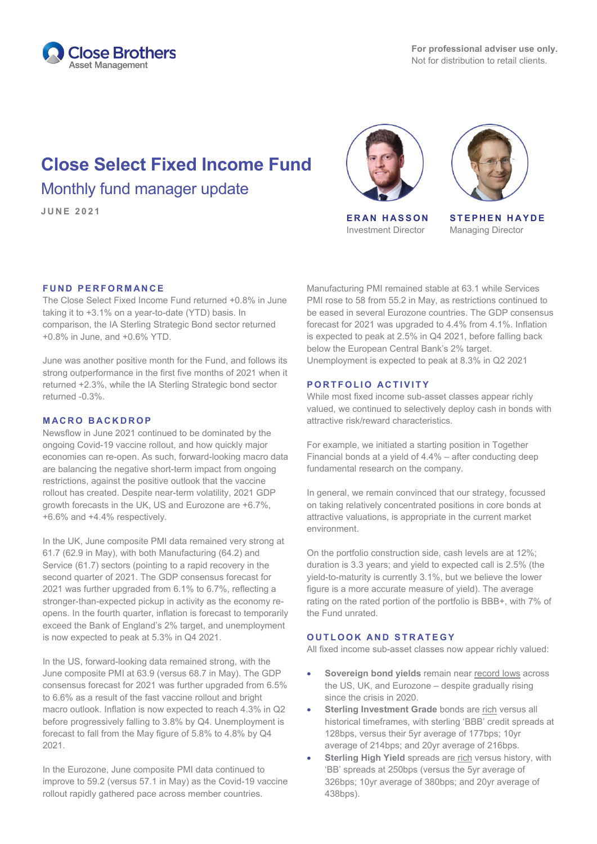

# **Close Select Fixed Income Fund** Monthly fund manager update



**JUNE <sup>2021</sup> ERAN HASSON** Investment Director



**STEPHEN HAYDE** Managing Director

#### **FUND PERFORMANCE**

The Close Select Fixed Income Fund returned +0.8% in June taking it to +3.1% on a year-to-date (YTD) basis. In comparison, the IA Sterling Strategic Bond sector returned +0.8% in June, and +0.6% YTD.

June was another positive month for the Fund, and follows its strong outperformance in the first five months of 2021 when it returned +2.3%, while the IA Sterling Strategic bond sector returned -0.3%.

### **MACRO BACKDROP**

Newsflow in June 2021 continued to be dominated by the ongoing Covid-19 vaccine rollout, and how quickly major economies can re-open. As such, forward-looking macro data are balancing the negative short-term impact from ongoing restrictions, against the positive outlook that the vaccine rollout has created. Despite near-term volatility, 2021 GDP growth forecasts in the UK, US and Eurozone are +6.7%, +6.6% and +4.4% respectively.

In the UK, June composite PMI data remained very strong at 61.7 (62.9 in May), with both Manufacturing (64.2) and Service (61.7) sectors (pointing to a rapid recovery in the second quarter of 2021. The GDP consensus forecast for 2021 was further upgraded from 6.1% to 6.7%, reflecting a stronger-than-expected pickup in activity as the economy reopens. In the fourth quarter, inflation is forecast to temporarily exceed the Bank of England's 2% target, and unemployment is now expected to peak at 5.3% in Q4 2021.

In the US, forward-looking data remained strong, with the June composite PMI at 63.9 (versus 68.7 in May). The GDP consensus forecast for 2021 was further upgraded from 6.5% to 6.6% as a result of the fast vaccine rollout and bright macro outlook. Inflation is now expected to reach 4.3% in Q2 before progressively falling to 3.8% by Q4. Unemployment is forecast to fall from the May figure of 5.8% to 4.8% by Q4 2021.

In the Eurozone, June composite PMI data continued to improve to 59.2 (versus 57.1 in May) as the Covid-19 vaccine rollout rapidly gathered pace across member countries.

Manufacturing PMI remained stable at 63.1 while Services PMI rose to 58 from 55.2 in May, as restrictions continued to be eased in several Eurozone countries. The GDP consensus forecast for 2021 was upgraded to 4.4% from 4.1%. Inflation is expected to peak at 2.5% in Q4 2021, before falling back below the European Central Bank's 2% target. Unemployment is expected to peak at 8.3% in Q2 2021

#### **PORTFOLIO ACTIVITY**

While most fixed income sub-asset classes appear richly valued, we continued to selectively deploy cash in bonds with attractive risk/reward characteristics.

For example, we initiated a starting position in Together Financial bonds at a yield of 4.4% – after conducting deep fundamental research on the company.

In general, we remain convinced that our strategy, focussed on taking relatively concentrated positions in core bonds at attractive valuations, is appropriate in the current market environment.

On the portfolio construction side, cash levels are at 12%; duration is 3.3 years; and yield to expected call is 2.5% (the yield-to-maturity is currently 3.1%, but we believe the lower figure is a more accurate measure of yield). The average rating on the rated portion of the portfolio is BBB+, with 7% of the Fund unrated.

## **OUTLOOK AND STRATEGY**

All fixed income sub-asset classes now appear richly valued:

- **Sovereign bond yields** remain near record lows across the US, UK, and Eurozone – despite gradually rising since the crisis in 2020.
- **Sterling Investment Grade** bonds are rich versus all historical timeframes, with sterling 'BBB' credit spreads at 128bps, versus their 5yr average of 177bps; 10yr average of 214bps; and 20yr average of 216bps.
- **Sterling High Yield** spreads are rich versus history, with 'BB' spreads at 250bps (versus the 5yr average of 326bps; 10yr average of 380bps; and 20yr average of 438bps).